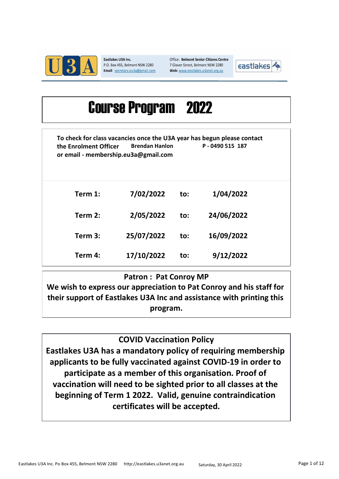

Eastlakes U3A Inc. P.O. Box 455, Belmont NSW 2280 Email: secretary.eu3a@gmail.com Office: Belmont Senior Citizens Centre 7 Glover Street, Belmont NSW 2280 Web: www.eastlakes.u3anet.org.au



# 2022 Course Program

To check for class vacancies once the U3A year has begun please contact the Enrolment Officer or email - membership.eu3a@gmail.com Brendan Hanlon P - 0490 515 187

| Term 1: | 7/02/2022  | to: | 1/04/2022  |  |
|---------|------------|-----|------------|--|
| Term 2: | 2/05/2022  | to: | 24/06/2022 |  |
| Term 3: | 25/07/2022 | to: | 16/09/2022 |  |
| Term 4: | 17/10/2022 | to: | 9/12/2022  |  |

## Patron : Pat Conroy MP

We wish to express our appreciation to Pat Conroy and his staff for their support of Eastlakes U3A Inc and assistance with printing this program.

COVID Vaccination Policy

Eastlakes U3A has a mandatory policy of requiring membership applicants to be fully vaccinated against COVID-19 in order to participate as a member of this organisation. Proof of vaccination will need to be sighted prior to all classes at the beginning of Term 1 2022. Valid, genuine contraindication certificates will be accepted.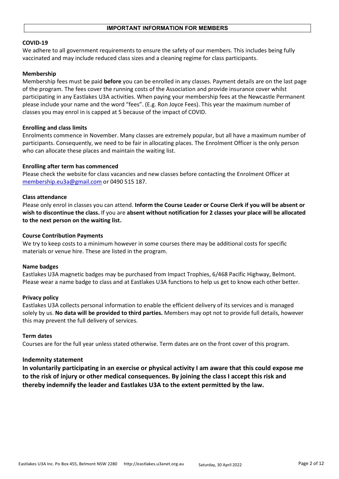#### COVID-19

We adhere to all government requirements to ensure the safety of our members. This includes being fully vaccinated and may include reduced class sizes and a cleaning regime for class participants.

#### Membership

Membership fees must be paid **before** you can be enrolled in any classes. Payment details are on the last page of the program. The fees cover the running costs of the Association and provide insurance cover whilst participating in any Eastlakes U3A activities. When paying your membership fees at the Newcastle Permanent please include your name and the word "fees". (E.g. Ron Joyce Fees). This year the maximum number of classes you may enrol in is capped at 5 because of the impact of COVID.

#### Enrolling and class limits

Enrolments commence in November. Many classes are extremely popular, but all have a maximum number of participants. Consequently, we need to be fair in allocating places. The Enrolment Officer is the only person who can allocate these places and maintain the waiting list.

#### Enrolling after term has commenced

Please check the website for class vacancies and new classes before contacting the Enrolment Officer at membership.eu3a@gmail.com or 0490 515 187.

#### Class attendance

Please only enrol in classes you can attend. Inform the Course Leader or Course Clerk if you will be absent or wish to discontinue the class. If you are absent without notification for 2 classes your place will be allocated to the next person on the waiting list.

#### Course Contribution Payments

We try to keep costs to a minimum however in some courses there may be additional costs for specific materials or venue hire. These are listed in the program.

#### Name badges

Eastlakes U3A magnetic badges may be purchased from Impact Trophies, 6/468 Pacific Highway, Belmont. Please wear a name badge to class and at Eastlakes U3A functions to help us get to know each other better.

#### Privacy policy

Eastlakes U3A collects personal information to enable the efficient delivery of its services and is managed solely by us. No data will be provided to third parties. Members may opt not to provide full details, however this may prevent the full delivery of services.

#### Term dates

Courses are for the full year unless stated otherwise. Term dates are on the front cover of this program.

#### Indemnity statement

In voluntarily participating in an exercise or physical activity I am aware that this could expose me to the risk of injury or other medical consequences. By joining the class I accept this risk and thereby indemnify the leader and Eastlakes U3A to the extent permitted by the law.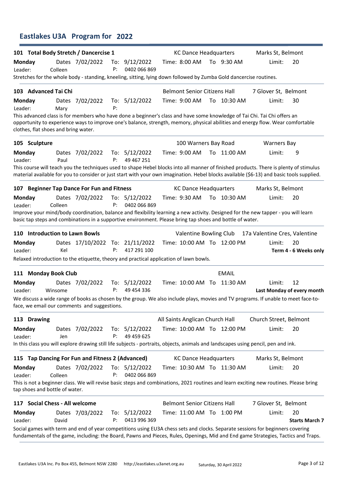## Eastlakes U3A Program for 2022

|                          |                                      | 101 Total Body Stretch / Dancercise 1            |           |                                 | <b>KC Dance Headquarters</b>                                                                                                                                                                                                                                                        |              | Marks St, Belmont             |                                  |
|--------------------------|--------------------------------------|--------------------------------------------------|-----------|---------------------------------|-------------------------------------------------------------------------------------------------------------------------------------------------------------------------------------------------------------------------------------------------------------------------------------|--------------|-------------------------------|----------------------------------|
| <b>Monday</b><br>Leader: | Colleen                              | Dates 7/02/2022                                  | P:        | To: $9/12/2022$<br>0402 066 869 | Time: 8:00 AM                                                                                                                                                                                                                                                                       | To 9:30 AM   | Limit:                        | 20                               |
|                          |                                      |                                                  |           |                                 | Stretches for the whole body - standing, kneeling, sitting, lying down followed by Zumba Gold dancercise routines.                                                                                                                                                                  |              |                               |                                  |
|                          | 103 Advanced Tai Chi                 |                                                  |           |                                 | <b>Belmont Senior Citizens Hall</b>                                                                                                                                                                                                                                                 |              | 7 Glover St, Belmont          |                                  |
| <b>Monday</b><br>Leader: | Mary                                 | Dates 7/02/2022                                  | P:        | To: 5/12/2022                   | Time: 9:00 AM                                                                                                                                                                                                                                                                       | To 10:30 AM  | Limit:                        | 30                               |
|                          | clothes, flat shoes and bring water. |                                                  |           |                                 | This advanced class is for members who have done a beginner's class and have some knowledge of Tai Chi. Tai Chi offers an<br>opportunity to experience ways to improve one's balance, strength, memory, physical abilities and energy flow. Wear comfortable                        |              |                               |                                  |
| 105 Sculpture            |                                      |                                                  |           |                                 | 100 Warners Bay Road                                                                                                                                                                                                                                                                |              | <b>Warners Bay</b>            |                                  |
| <b>Monday</b><br>Leader: | Paul                                 | Dates 7/02/2022                                  | P:        | To: $5/12/2022$<br>49 467 251   | Time: 9:00 AM                                                                                                                                                                                                                                                                       | To 11:00 AM  | Limit:                        | 9                                |
|                          |                                      |                                                  |           |                                 | This course will teach you the techniques used to shape Hebel blocks into all manner of finished products. There is plenty of stimulus<br>material available for you to consider or just start with your own imagination. Hebel blocks available (\$6-13) and basic tools supplied. |              |                               |                                  |
|                          |                                      | 107 Beginner Tap Dance For Fun and Fitness       |           |                                 | <b>KC Dance Headquarters</b>                                                                                                                                                                                                                                                        |              | Marks St, Belmont             |                                  |
| Monday<br>Leader:        | Colleen                              | Dates 7/02/2022                                  | P:        | To: $5/12/2022$<br>0402 066 869 | Time: 9:30 AM                                                                                                                                                                                                                                                                       | To 10:30 AM  | Limit:                        | 20                               |
|                          |                                      |                                                  |           |                                 | Improve your mind/body coordination, balance and flexibility learning a new activity. Designed for the new tapper - you will learn<br>basic tap steps and combinations in a supportive environment. Please bring tap shoes and bottle of water.                                     |              |                               |                                  |
|                          | 110 Introduction to Lawn Bowls       |                                                  |           |                                 | Valentine Bowling Club                                                                                                                                                                                                                                                              |              | 17a Valentine Cres, Valentine |                                  |
| <b>Monday</b><br>Leader: | Kel                                  | Dates 17/10/2022 To: 21/11/2022                  | P:        | 417 291 100                     | Time: 10:00 AM To 12:00 PM                                                                                                                                                                                                                                                          |              | Limit:                        | 20<br>Term 4 - 6 Weeks only      |
|                          |                                      |                                                  |           |                                 | Relaxed introduction to the etiquette, theory and practical application of lawn bowls.                                                                                                                                                                                              |              |                               |                                  |
|                          | 111 Monday Book Club                 |                                                  |           |                                 |                                                                                                                                                                                                                                                                                     | <b>EMAIL</b> |                               |                                  |
| <b>Monday</b><br>Leader: | Winsome                              | Dates 7/02/2022                                  | To:<br>P: | 5/12/2022<br>49 454 336         | Time: 10:00 AM To 11:30 AM                                                                                                                                                                                                                                                          |              | Limit:                        | 12<br>Last Monday of every month |
|                          |                                      | face, we email our comments and suggestions.     |           |                                 | We discuss a wide range of books as chosen by the group. We also include plays, movies and TV programs. If unable to meet face-to-                                                                                                                                                  |              |                               |                                  |
| 113 Drawing              |                                      |                                                  |           |                                 | All Saints Anglican Church Hall                                                                                                                                                                                                                                                     |              | Church Street, Belmont        |                                  |
| <b>Monday</b><br>Leader: | Jen                                  | Dates 7/02/2022                                  | P:        | To: $5/12/2022$<br>49 459 625   | Time: 10:00 AM To 12:00 PM                                                                                                                                                                                                                                                          |              | Limit:                        | 20                               |
|                          |                                      |                                                  |           |                                 | In this class you will explore drawing still life subjects - portraits, objects, animals and landscapes using pencil, pen and ink.                                                                                                                                                  |              |                               |                                  |
|                          |                                      | 115 Tap Dancing For Fun and Fitness 2 (Advanced) |           |                                 | <b>KC Dance Headquarters</b>                                                                                                                                                                                                                                                        |              | Marks St, Belmont             |                                  |
| <b>Monday</b><br>Leader: | Colleen                              | Dates 7/02/2022                                  | P:        | To: $5/12/2022$<br>0402 066 869 | Time: 10:30 AM To 11:30 AM                                                                                                                                                                                                                                                          |              | Limit:                        | 20                               |
|                          | tap shoes and bottle of water.       |                                                  |           |                                 | This is not a beginner class. We will revise basic steps and combinations, 2021 routines and learn exciting new routines. Please bring                                                                                                                                              |              |                               |                                  |
|                          | 117 Social Chess - All welcome       |                                                  |           |                                 | <b>Belmont Senior Citizens Hall</b>                                                                                                                                                                                                                                                 |              | 7 Glover St, Belmont          |                                  |
| <b>Monday</b><br>Leader: | David                                | Dates 7/03/2022                                  | P:        | To: 5/12/2022<br>0413 996 369   | Time: 11:00 AM To 1:00 PM                                                                                                                                                                                                                                                           |              | Limit:                        | 20<br><b>Starts March 7</b>      |
|                          |                                      |                                                  |           |                                 | Social games with term and end of year competitions using EU3A chess sets and clocks. Separate sessions for beginners covering<br>fundamentals of the game, including: the Board, Pawns and Pieces, Rules, Openings, Mid and End game Strategies, Tactics and Traps.                |              |                               |                                  |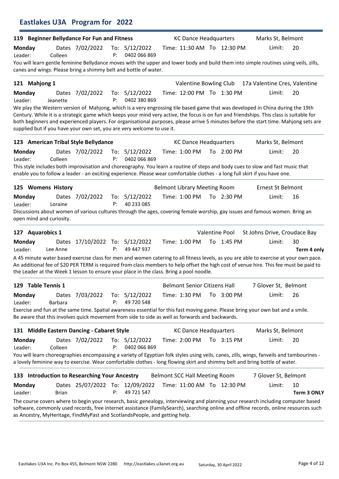|                          |              | Eastlakes U3A Program for 2022                |    |                                                                                                 |                                      |                            |                                                                                                                                                                                                                                                                                                                                                                                                                    |                          |
|--------------------------|--------------|-----------------------------------------------|----|-------------------------------------------------------------------------------------------------|--------------------------------------|----------------------------|--------------------------------------------------------------------------------------------------------------------------------------------------------------------------------------------------------------------------------------------------------------------------------------------------------------------------------------------------------------------------------------------------------------------|--------------------------|
|                          |              | 119 Beginner Bellydance For Fun and Fitness   |    |                                                                                                 | <b>KC Dance Headquarters</b>         |                            | Marks St, Belmont                                                                                                                                                                                                                                                                                                                                                                                                  |                          |
| <b>Monday</b><br>Leader: | Colleen      | Dates 7/02/2022                               | P: | To: $5/12/2022$<br>0402 066 869                                                                 |                                      | Time: 11:30 AM To 12:30 PM | Limit:<br>You will learn gentle feminine Bellydance moves with the upper and lower body and build them into simple routines using veils, zills,                                                                                                                                                                                                                                                                    | 20                       |
|                          |              |                                               |    | canes and wings. Please bring a shimmy belt and bottle of water.                                |                                      |                            |                                                                                                                                                                                                                                                                                                                                                                                                                    |                          |
| 121 Mahjong 1            |              |                                               |    |                                                                                                 | Valentine Bowling Club               |                            | 17a Valentine Cres, Valentine                                                                                                                                                                                                                                                                                                                                                                                      |                          |
| <b>Monday</b><br>Leader: | Jeanette     | Dates 7/02/2022                               | P: | To: $5/12/2022$<br>0402 380 869                                                                 |                                      | Time: 12:00 PM To 1:30 PM  | Limit:                                                                                                                                                                                                                                                                                                                                                                                                             | 20                       |
|                          |              |                                               |    | supplied but if you have your own set, you are very welcome to use it.                          |                                      |                            | We play the Western version of Mahjong, which is a very engrossing tile based game that was developed in China during the 19th<br>Century. While it is a strategic game which keeps your mind very active, the focus is on fun and friendships. This class is suitable for<br>both beginners and experienced players. For organisational purposes, please arrive 5 minutes before the start time. Mahjong sets are |                          |
|                          |              | 123 American Tribal Style Bellydance          |    |                                                                                                 | <b>KC Dance Headquarters</b>         |                            | Marks St, Belmont                                                                                                                                                                                                                                                                                                                                                                                                  |                          |
| <b>Monday</b><br>Leader: | Colleen      | Dates 7/02/2022                               | P: | To: $5/12/2022$<br>0402 066 869                                                                 | Time: 1:00 PM                        | To 2:00 PM                 | Limit:                                                                                                                                                                                                                                                                                                                                                                                                             | 20                       |
|                          |              |                                               |    |                                                                                                 |                                      |                            | This style includes both improvisation and choreography. You learn a routine of steps and body cues to slow and fast music that<br>enable you to follow a leader - an exciting experience. Please wear comfortable clothes - a long full skirt if you have one.                                                                                                                                                    |                          |
| 125 Womens History       |              |                                               |    |                                                                                                 | <b>Belmont Library Meeting Room</b>  |                            | Ernest St Belmont                                                                                                                                                                                                                                                                                                                                                                                                  |                          |
| <b>Monday</b><br>Leader: | Loraine      | Dates 7/02/2022                               | P: | To: $5/12/2022$<br>40 233 085                                                                   | Time: 1:00 PM                        | To 2:30 PM                 | Limit:                                                                                                                                                                                                                                                                                                                                                                                                             | 16                       |
| open mind and curiosity. |              |                                               |    |                                                                                                 |                                      |                            | Discussions about women of various cultures through the ages, covering female worship, gay issues and famous women. Bring an                                                                                                                                                                                                                                                                                       |                          |
| 127 Aquarobics 1         |              |                                               |    |                                                                                                 |                                      | Valentine Pool             | St Johns Drive, Croudace Bay                                                                                                                                                                                                                                                                                                                                                                                       |                          |
| <b>Monday</b><br>Leader: | Lee Anne     | Dates 17/10/2022 To: 5/12/2022                | P: | 49 447 937                                                                                      | Time: 1:00 PM                        | To 1:45 PM                 | Limit:                                                                                                                                                                                                                                                                                                                                                                                                             | 30<br>Term 4 only        |
|                          |              |                                               |    | the Leader at the Week 1 lesson to ensure your place in the class. Bring a pool noodle.         |                                      |                            | A 45 minute water based exercise class for men and women catering to all fitness levels, as you are able to exercise at your own pace.<br>An additional fee of \$20 PER TERM is required from class members to help offset the high cost of venue hire. This fee must be paid to                                                                                                                                   |                          |
| 129 Table Tennis 1       |              |                                               |    |                                                                                                 | <b>Belmont Senior Citizens Hall</b>  |                            | 7 Glover St, Belmont                                                                                                                                                                                                                                                                                                                                                                                               |                          |
| <b>Monday</b><br>Leader: | Barbara      | Dates 7/03/2022                               | P: | To: $5/12/2022$<br>49 720 548                                                                   | Time: 1:30 PM                        | To 3:00 PM                 | Limit:                                                                                                                                                                                                                                                                                                                                                                                                             | 26                       |
|                          |              |                                               |    | Be aware that this involves quick movement from side to side as well as forwards and backwards. |                                      |                            | Exercise and fun at the same time. Spatial awareness essential for this fast moving game. Please bring your own bat and a smile.                                                                                                                                                                                                                                                                                   |                          |
|                          |              | 131 Middle Eastern Dancing - Cabaret Style    |    |                                                                                                 | <b>KC Dance Headquarters</b>         |                            | Marks St, Belmont                                                                                                                                                                                                                                                                                                                                                                                                  |                          |
| Monday<br>Leader:        | Colleen      | Dates 7/02/2022                               | P: | To: 5/12/2022<br>0402 066 869                                                                   | Time: 2:00 PM                        | To 3:15 PM                 | Limit:                                                                                                                                                                                                                                                                                                                                                                                                             | 20                       |
|                          |              |                                               |    |                                                                                                 |                                      |                            | You will learn choreographies encompassing a variety of Egyptian folk styles using veils, canes, zills, wings, fanveils and tambourines -<br>a lovely feminine way to exercise. Wear comfortable clothes - long flowing skirt and shimmy belt and bring bottle of water.                                                                                                                                           |                          |
|                          |              | 133 Introduction to Researching Your Ancestry |    |                                                                                                 | <b>Belmont SCC Hall Meeting Room</b> |                            | 7 Glover St, Belmont                                                                                                                                                                                                                                                                                                                                                                                               |                          |
| <b>Monday</b><br>Leader: | <b>Brian</b> | Dates 25/07/2022 To: 12/09/2022               | P: | 49 721 547                                                                                      |                                      | Time: 11:00 AM To 12:30 PM | Limit:                                                                                                                                                                                                                                                                                                                                                                                                             | 10<br><b>Term 3 ONLY</b> |
|                          |              |                                               |    | as Ancestry, MyHeritage, FindMyPast and ScotlandsPeople, and getting help.                      |                                      |                            | The course covers where to begin your research, basic genealogy, interviewing and planning your research including computer based<br>software, commonly used records, free internet assistance (FamilySearch), searching online and offline records, online resources such                                                                                                                                         |                          |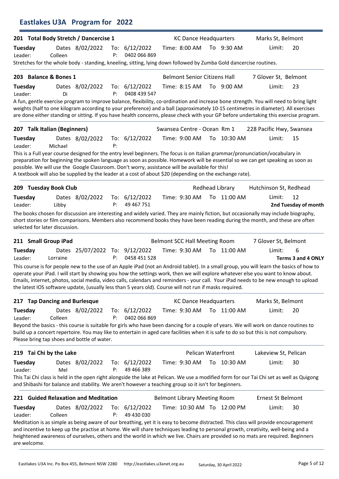|                                |          | <b>Eastlakes U3A Program for 2022</b>       |           |                                                                                                                                                                                                             |                                                      |                            |                                                                                                                                                                                                                                                                                                                                                                                                                        |                            |
|--------------------------------|----------|---------------------------------------------|-----------|-------------------------------------------------------------------------------------------------------------------------------------------------------------------------------------------------------------|------------------------------------------------------|----------------------------|------------------------------------------------------------------------------------------------------------------------------------------------------------------------------------------------------------------------------------------------------------------------------------------------------------------------------------------------------------------------------------------------------------------------|----------------------------|
|                                |          | 201 Total Body Stretch / Dancercise 1       |           |                                                                                                                                                                                                             | <b>KC Dance Headquarters</b>                         |                            | Marks St, Belmont                                                                                                                                                                                                                                                                                                                                                                                                      |                            |
| Tuesday<br>Leader:             | Colleen  | Dates 8/02/2022                             | To:<br>P: | 6/12/2022<br>0402 066 869<br>Stretches for the whole body - standing, kneeling, sitting, lying down followed by Zumba Gold dancercise routines.                                                             | Time: 8:00 AM                                        | To 9:30 AM                 | Limit:                                                                                                                                                                                                                                                                                                                                                                                                                 | 20                         |
| 203 Balance & Bones 1          |          |                                             |           |                                                                                                                                                                                                             |                                                      |                            |                                                                                                                                                                                                                                                                                                                                                                                                                        |                            |
| Tuesday                        |          | Dates 8/02/2022                             |           | To: 6/12/2022                                                                                                                                                                                               | <b>Belmont Senior Citizens Hall</b><br>Time: 8:15 AM | To 9:00 AM                 | 7 Glover St, Belmont<br>Limit:                                                                                                                                                                                                                                                                                                                                                                                         | 23                         |
| Leader:                        | Di       |                                             | P:        | 0408 439 547                                                                                                                                                                                                |                                                      |                            |                                                                                                                                                                                                                                                                                                                                                                                                                        |                            |
|                                |          |                                             |           |                                                                                                                                                                                                             |                                                      |                            | A fun, gentle exercise program to improve balance, flexibility, co-ordination and increase bone strength. You will need to bring light<br>weights (half to one kilogram according to your preference) and a ball (approximately 10-15 centimetres in diameter). All exercises<br>are done either standing or sitting. If you have health concerns, please check with your GP before undertaking this exercise program. |                            |
| 207 Talk Italian (Beginners)   |          |                                             |           |                                                                                                                                                                                                             | Swansea Centre - Ocean Rm 1                          |                            | 228 Pacific Hwy, Swansea                                                                                                                                                                                                                                                                                                                                                                                               |                            |
| Tuesday                        |          | Dates 8/02/2022                             |           | To: 6/12/2022                                                                                                                                                                                               | Time: 9:00 AM                                        | To 10:30 AM                | Limit:                                                                                                                                                                                                                                                                                                                                                                                                                 | 15                         |
| Leader:                        | Michael  |                                             | P:        | possible. We will use the Google Classroom. Don't worry, assistance will be available for this!<br>A textbook will also be supplied by the leader at a cost of about \$20 (depending on the exchange rate). |                                                      |                            | This is a Full year course designed for the entry level beginners. The focus is on Italian grammar/pronunciation/vocabulary in<br>preparation for beginning the spoken language as soon as possible. Homework will be essential so we can get speaking as soon as                                                                                                                                                      |                            |
| 209 Tuesday Book Club          |          |                                             |           |                                                                                                                                                                                                             |                                                      | Redhead Library            | Hutchinson St, Redhead                                                                                                                                                                                                                                                                                                                                                                                                 |                            |
| Tuesday<br>Leader:             | Libby    | Dates 8/02/2022                             | P:        | To: 6/12/2022<br>49 467 751                                                                                                                                                                                 | Time: 9:30 AM                                        | To 11:00 AM                | Limit:                                                                                                                                                                                                                                                                                                                                                                                                                 | 12<br>2nd Tuesday of month |
| selected for later discussion. |          |                                             |           |                                                                                                                                                                                                             |                                                      |                            | The books chosen for discussion are interesting and widely varied. They are mainly fiction, but occasionally may include biography,<br>short stories or film comparisons. Members also recommend books they have been reading during the month, and these are often                                                                                                                                                    |                            |
| 211 Small Group iPad           |          |                                             |           |                                                                                                                                                                                                             | <b>Belmont SCC Hall Meeting Room</b>                 |                            | 7 Glover St, Belmont                                                                                                                                                                                                                                                                                                                                                                                                   |                            |
| Tuesday<br>Leader:             | Lorraine | Dates 25/07/2022 To: 9/12/2022              | P:        | 0458 451 528                                                                                                                                                                                                | Time: 9:30 AM                                        | To 11:00 AM                | Limit:                                                                                                                                                                                                                                                                                                                                                                                                                 | 6<br>Terms 3 and 4 ONLY    |
|                                |          |                                             |           | the latest IOS software update, (usually less than 5 years old). Course will not run if masks required.                                                                                                     |                                                      |                            | This course is for people new to the use of an Apple iPad (not an Android tablet). In a small group, you will learn the basics of how to<br>operate your iPad. I will start by showing you how the settings work, then we will explore whatever else you want to know about.<br>Emails, internet, photos, social media, video calls, calendars and reminders - your call. Your iPad needs to be new enough to upload   |                            |
| 217 Tap Dancing and Burlesque  |          |                                             |           |                                                                                                                                                                                                             | <b>KC Dance Headquarters</b>                         |                            | Marks St, Belmont                                                                                                                                                                                                                                                                                                                                                                                                      |                            |
| Tuesday<br>Leader:             | Colleen  | Dates 8/02/2022                             | P:        | To: $6/12/2022$<br>0402 066 869                                                                                                                                                                             | Time: 9:30 AM                                        | To 11:00 AM                | Limit:                                                                                                                                                                                                                                                                                                                                                                                                                 | 20                         |
|                                |          | Please bring tap shoes and bottle of water. |           |                                                                                                                                                                                                             |                                                      |                            | Beyond the basics - this course is suitable for girls who have been dancing for a couple of years. We will work on dance routines to<br>build up a concert repertoire. You may like to entertain in aged care facilities when it is safe to do so but this is not compulsory.                                                                                                                                          |                            |
| 219 Tai Chi by the Lake        |          |                                             |           |                                                                                                                                                                                                             | <b>Pelican Waterfront</b>                            |                            | Lakeview St, Pelican                                                                                                                                                                                                                                                                                                                                                                                                   |                            |
| Tuesday<br>Leader:             | Mel      | Dates 8/02/2022                             | P:        | To: 6/12/2022<br>49 466 389                                                                                                                                                                                 | Time: 9:30 AM                                        | To 10:30 AM                | Limit:                                                                                                                                                                                                                                                                                                                                                                                                                 | 30                         |
|                                |          |                                             |           | and Shibashi for balance and stability. We aren't however a teaching group so it isn't for beginners.                                                                                                       |                                                      |                            | This Tai Chi class is held in the open right alongside the lake at Pelican. We use a modified form for our Tai Chi set as well as Quigong                                                                                                                                                                                                                                                                              |                            |
|                                |          | 221 Guided Relaxation and Meditation        |           |                                                                                                                                                                                                             | <b>Belmont Library Meeting Room</b>                  |                            | Ernest St Belmont                                                                                                                                                                                                                                                                                                                                                                                                      |                            |
| Tuesday<br>Leader:             | Colleen  | Dates 8/02/2022                             | P:        | To: 6/12/2022<br>49 430 030                                                                                                                                                                                 |                                                      | Time: 10:30 AM To 12:00 PM | Limit:                                                                                                                                                                                                                                                                                                                                                                                                                 | 30                         |
| are welcome.                   |          |                                             |           |                                                                                                                                                                                                             |                                                      |                            | Meditation is as simple as being aware of our breathing, yet it is easy to become distracted. This class will provide encouragement<br>and incentive to keep up the practise at home. We will share techniques leading to personal growth, creativity, well-being and a<br>heightened awareness of ourselves, others and the world in which we live. Chairs are provided so no mats are required. Beginners            |                            |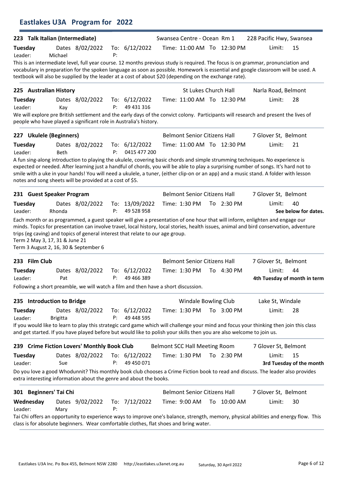|                                                                                                                                                                                                                                                                                                                                                                                                                                                                                                                                                                                                                           |                 | 223 Talk Italian (Intermediate) |    |                                 | Swansea Centre - Ocean Rm 1          |                            | 228 Pacific Hwy, Swansea                                                                                                                                                                                                                                                                                                                                                                                      |                                    |
|---------------------------------------------------------------------------------------------------------------------------------------------------------------------------------------------------------------------------------------------------------------------------------------------------------------------------------------------------------------------------------------------------------------------------------------------------------------------------------------------------------------------------------------------------------------------------------------------------------------------------|-----------------|---------------------------------|----|---------------------------------|--------------------------------------|----------------------------|---------------------------------------------------------------------------------------------------------------------------------------------------------------------------------------------------------------------------------------------------------------------------------------------------------------------------------------------------------------------------------------------------------------|------------------------------------|
| Tuesday<br>Leader:                                                                                                                                                                                                                                                                                                                                                                                                                                                                                                                                                                                                        | Michael         | Dates 8/02/2022                 | P: | To: $6/12/2022$                 |                                      | Time: 11:00 AM To 12:30 PM | Limit:                                                                                                                                                                                                                                                                                                                                                                                                        | 15                                 |
| textbook will also be supplied by the leader at a cost of about \$20 (depending on the exchange rate).                                                                                                                                                                                                                                                                                                                                                                                                                                                                                                                    |                 |                                 |    |                                 |                                      |                            | This is an intermediate level, full year course. 12 months previous study is required. The focus is on grammar, pronunciation and<br>vocabulary in preparation for the spoken language as soon as possible. Homework is essential and google classroom will be used. A                                                                                                                                        |                                    |
| 225 Australian History                                                                                                                                                                                                                                                                                                                                                                                                                                                                                                                                                                                                    |                 |                                 |    |                                 | St Lukes Church Hall                 |                            | Narla Road, Belmont                                                                                                                                                                                                                                                                                                                                                                                           |                                    |
| Tuesday<br>Leader:                                                                                                                                                                                                                                                                                                                                                                                                                                                                                                                                                                                                        | Kay             | Dates 8/02/2022                 | P: | To: $6/12/2022$<br>49 431 316   |                                      | Time: 11:00 AM To 12:30 PM | Limit:<br>We will explore pre British settlement and the early days of the convict colony. Participants will research and present the lives of                                                                                                                                                                                                                                                                | 28                                 |
| people who have played a significant role in Australia's history.                                                                                                                                                                                                                                                                                                                                                                                                                                                                                                                                                         |                 |                                 |    |                                 |                                      |                            |                                                                                                                                                                                                                                                                                                                                                                                                               |                                    |
| 227 Ukulele (Beginners)                                                                                                                                                                                                                                                                                                                                                                                                                                                                                                                                                                                                   |                 |                                 |    |                                 | <b>Belmont Senior Citizens Hall</b>  |                            | 7 Glover St, Belmont                                                                                                                                                                                                                                                                                                                                                                                          |                                    |
| Tuesday<br>Leader:                                                                                                                                                                                                                                                                                                                                                                                                                                                                                                                                                                                                        | Beth            | Dates 8/02/2022                 | P: | To: $6/12/2022$<br>0415 477 200 |                                      | Time: 11:00 AM To 12:30 PM | Limit:                                                                                                                                                                                                                                                                                                                                                                                                        | 21                                 |
| notes and song sheets will be provided at a cost of \$5.                                                                                                                                                                                                                                                                                                                                                                                                                                                                                                                                                                  |                 |                                 |    |                                 |                                      |                            | A fun sing-along introduction to playing the ukulele, covering basic chords and simple strumming techniques. No experience is<br>expected or needed. After learning just a handful of chords, you will be able to play a surprising number of songs. It's hard not to<br>smile with a uke in your hands! You will need a ukulele, a tuner, (either clip-on or an app) and a music stand. A folder with lesson |                                    |
| 231 Guest Speaker Program                                                                                                                                                                                                                                                                                                                                                                                                                                                                                                                                                                                                 |                 |                                 |    |                                 | <b>Belmont Senior Citizens Hall</b>  |                            | 7 Glover St, Belmont                                                                                                                                                                                                                                                                                                                                                                                          |                                    |
| Tuesday                                                                                                                                                                                                                                                                                                                                                                                                                                                                                                                                                                                                                   |                 | Dates 8/02/2022                 |    | To: 13/09/2022                  | Time: 1:30 PM                        | To 2:30 PM                 | Limit:                                                                                                                                                                                                                                                                                                                                                                                                        | 40                                 |
|                                                                                                                                                                                                                                                                                                                                                                                                                                                                                                                                                                                                                           | Rhonda          |                                 | P: | 49 528 958                      |                                      |                            | Each month or as programmed, a guest speaker will give a presentation of one hour that will inform, enlighten and engage our                                                                                                                                                                                                                                                                                  |                                    |
|                                                                                                                                                                                                                                                                                                                                                                                                                                                                                                                                                                                                                           |                 |                                 |    |                                 |                                      |                            | minds. Topics for presentation can involve travel, local history, local stories, health issues, animal and bird conservation, adventure                                                                                                                                                                                                                                                                       | See below for dates.               |
|                                                                                                                                                                                                                                                                                                                                                                                                                                                                                                                                                                                                                           |                 |                                 |    |                                 | <b>Belmont Senior Citizens Hall</b>  |                            | 7 Glover St, Belmont                                                                                                                                                                                                                                                                                                                                                                                          |                                    |
|                                                                                                                                                                                                                                                                                                                                                                                                                                                                                                                                                                                                                           | Pat             | Dates 8/02/2022                 | P: | To: 6/12/2022<br>49 466 389     | Time: 1:30 PM                        | To 4:30 PM                 | Limit:                                                                                                                                                                                                                                                                                                                                                                                                        | 44<br>4th Tuesday of month in term |
|                                                                                                                                                                                                                                                                                                                                                                                                                                                                                                                                                                                                                           |                 |                                 |    |                                 |                                      |                            |                                                                                                                                                                                                                                                                                                                                                                                                               |                                    |
|                                                                                                                                                                                                                                                                                                                                                                                                                                                                                                                                                                                                                           |                 |                                 |    |                                 | Windale Bowling Club                 |                            | Lake St, Windale                                                                                                                                                                                                                                                                                                                                                                                              |                                    |
|                                                                                                                                                                                                                                                                                                                                                                                                                                                                                                                                                                                                                           | <b>Brigitta</b> | Dates 8/02/2022                 | P: | To: $6/12/2022$<br>49 448 595   | Time: 1:30 PM                        | To 3:00 PM                 | Limit:                                                                                                                                                                                                                                                                                                                                                                                                        | 28                                 |
|                                                                                                                                                                                                                                                                                                                                                                                                                                                                                                                                                                                                                           |                 |                                 |    |                                 |                                      |                            | If you would like to learn to play this strategic card game which will challenge your mind and focus your thinking then join this class                                                                                                                                                                                                                                                                       |                                    |
|                                                                                                                                                                                                                                                                                                                                                                                                                                                                                                                                                                                                                           |                 |                                 |    |                                 | <b>Belmont SCC Hall Meeting Room</b> |                            | 7 Glover St, Belmont                                                                                                                                                                                                                                                                                                                                                                                          |                                    |
|                                                                                                                                                                                                                                                                                                                                                                                                                                                                                                                                                                                                                           | Sue             | Dates 8/02/2022                 | P: | To: $6/12/2022$<br>49 450 071   | Time: 1:30 PM                        | To 2:30 PM                 | Limit:                                                                                                                                                                                                                                                                                                                                                                                                        | 15                                 |
| Leader:<br>trips (eg caving) and topics of general interest that relate to our age group.<br>Term 2 May 3, 17, 31 & June 21<br>Term 3 August 2, 16, 30 & September 6<br>233 Film Club<br>Tuesdav<br>Leader:<br>Following a short preamble, we will watch a film and then have a short discussion.<br>235 Introduction to Bridge<br>Tuesday<br>Leader:<br>and get started. If you have played before but would like to polish your skills then you are also welcome to join us.<br>239 Crime Fiction Lovers' Monthly Book Club<br>Tuesday<br>Leader:<br>extra interesting information about the genre and about the books. |                 |                                 |    |                                 |                                      |                            | Do you love a good Whodunnit? This monthly book club chooses a Crime Fiction book to read and discuss. The leader also provides                                                                                                                                                                                                                                                                               | 3rd Tuesday of the month           |
| 301 Beginners' Tai Chi                                                                                                                                                                                                                                                                                                                                                                                                                                                                                                                                                                                                    |                 |                                 |    |                                 | <b>Belmont Senior Citizens Hall</b>  |                            | 7 Glover St, Belmont                                                                                                                                                                                                                                                                                                                                                                                          |                                    |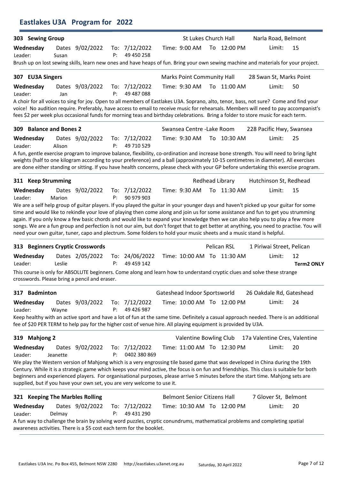| 303 Sewing Group                                                                                                                                                                                                                                                                                                                                                                                                                                                                        |          |                 |    |                               | St Lukes Church Hall                |                            | Narla Road, Belmont       |                               |
|-----------------------------------------------------------------------------------------------------------------------------------------------------------------------------------------------------------------------------------------------------------------------------------------------------------------------------------------------------------------------------------------------------------------------------------------------------------------------------------------|----------|-----------------|----|-------------------------------|-------------------------------------|----------------------------|---------------------------|-------------------------------|
| Wednesday<br>Leader:                                                                                                                                                                                                                                                                                                                                                                                                                                                                    | Susan    | Dates 9/02/2022 | P: | To: 7/12/2022<br>49 450 258   | Time: 9:00 AM                       | To 12:00 PM                | Limit:                    | 15                            |
| Brush up on lost sewing skills, learn new ones and have heaps of fun. Bring your own sewing machine and materials for your project.                                                                                                                                                                                                                                                                                                                                                     |          |                 |    |                               |                                     |                            |                           |                               |
| 307 EU3A Singers                                                                                                                                                                                                                                                                                                                                                                                                                                                                        |          |                 |    |                               | <b>Marks Point Community Hall</b>   |                            |                           | 28 Swan St, Marks Point       |
| Wednesday                                                                                                                                                                                                                                                                                                                                                                                                                                                                               | Dates    | 9/03/2022       |    | To: 7/12/2022                 | Time: 9:30 AM                       | To 11:00 AM                | Limit:                    | 50                            |
| Leader:                                                                                                                                                                                                                                                                                                                                                                                                                                                                                 | Jan      |                 | P: | 49 487 088                    |                                     |                            |                           |                               |
| A choir for all voices to sing for joy. Open to all members of Eastlakes U3A. Soprano, alto, tenor, bass, not sure? Come and find your<br>voice! No audition require. Preferably, have access to email to receive music for rehearsals. Members will need to pay accompanist's<br>fees \$2 per week plus occasional funds for morning teas and birthday celebrations. Bring a folder to store music for each term.                                                                      |          |                 |    |                               |                                     |                            |                           |                               |
| 309 Balance and Bones 2                                                                                                                                                                                                                                                                                                                                                                                                                                                                 |          |                 |    |                               | Swansea Centre - Lake Room          |                            |                           | 228 Pacific Hwy, Swansea      |
| Wednesday<br>Leader:                                                                                                                                                                                                                                                                                                                                                                                                                                                                    | Alison   | Dates 9/02/2022 | P: | To: 7/12/2022<br>49 710 529   | Time: 9:30 AM                       | To 10:30 AM                | Limit:                    | 25                            |
| A fun, gentle exercise program to improve balance, flexibility, co-ordination and increase bone strength. You will need to bring light<br>weights (half to one kilogram according to your preference) and a ball (approximately 10-15 centimetres in diameter). All exercises<br>are done either standing or sitting. If you have health concerns, please check with your GP before undertaking this exercise program.                                                                  |          |                 |    |                               |                                     |                            |                           |                               |
| 311 Keep Strumming                                                                                                                                                                                                                                                                                                                                                                                                                                                                      |          |                 |    |                               |                                     | Redhead Library            | Hutchinson St, Redhead    |                               |
| Wednesday<br>Leader:                                                                                                                                                                                                                                                                                                                                                                                                                                                                    | Marion   | Dates 9/02/2022 | P: | To: 7/12/2022<br>90 979 903   | Time: 9:30 AM                       | To 11:30 AM                | Limit:                    | 15                            |
| again. If you only know a few basic chords and would like to expand your knowledge then we can also help you to play a few more<br>songs. We are a fun group and perfection is not our aim, but don't forget that to get better at anything, you need to practise. You will<br>need your own guitar, tuner, capo and plectrum. Some folders to hold your music sheets and a music stand is helpful.                                                                                     |          |                 |    |                               |                                     |                            |                           |                               |
| 313 Beginners Cryptic Crosswords                                                                                                                                                                                                                                                                                                                                                                                                                                                        |          |                 |    |                               |                                     | Pelican RSL                | 1 Piriwai Street, Pelican |                               |
| Wednesday<br>Leader:                                                                                                                                                                                                                                                                                                                                                                                                                                                                    | Leslie   | Dates 2/05/2022 | P: | To: 24/06/2022<br>49 459 142  |                                     | Time: 10:00 AM To 11:30 AM | Limit:                    | 12<br><b>Term2 ONLY</b>       |
| This course is only for ABSOLUTE beginners. Come along and learn how to understand cryptic clues and solve these strange<br>crosswords. Please bring a pencil and eraser.                                                                                                                                                                                                                                                                                                               |          |                 |    |                               |                                     |                            |                           |                               |
| 317 Badminton                                                                                                                                                                                                                                                                                                                                                                                                                                                                           |          |                 |    |                               | Gateshead Indoor Sportsworld        |                            |                           | 26 Oakdale Rd, Gateshead      |
| Wednesday<br>Leader:                                                                                                                                                                                                                                                                                                                                                                                                                                                                    | Wayne    | Dates 9/03/2022 | P: | To: 7/12/2022<br>49 426 987   |                                     | Time: 10:00 AM To 12:00 PM | Limit:                    | 24                            |
| Keep healthy with an active sport and have a lot of fun at the same time. Definitely a casual approach needed. There is an additional<br>fee of \$20 PER TERM to help pay for the higher cost of venue hire. All playing equipment is provided by U3A.                                                                                                                                                                                                                                  |          |                 |    |                               |                                     |                            |                           |                               |
| 319 Mahjong 2                                                                                                                                                                                                                                                                                                                                                                                                                                                                           |          |                 |    |                               | Valentine Bowling Club              |                            |                           | 17a Valentine Cres, Valentine |
| Wednesday<br>Leader:                                                                                                                                                                                                                                                                                                                                                                                                                                                                    | Jeanette | Dates 9/02/2022 | P: | To: 7/12/2022<br>0402 380 869 |                                     | Time: 11:00 AM To 12:30 PM | Limit:                    | 20                            |
| We play the Western version of Mahjong which is a very engrossing tile based game that was developed in China during the 19th<br>Century. While it is a strategic game which keeps your mind active, the focus is on fun and friendships. This class is suitable for both<br>beginners and experienced players. For organisational purposes, please arrive 5 minutes before the start time. Mahjong sets are<br>supplied, but if you have your own set, you are very welcome to use it. |          |                 |    |                               |                                     |                            |                           |                               |
| 321 Keeping The Marbles Rolling                                                                                                                                                                                                                                                                                                                                                                                                                                                         |          |                 |    |                               | <b>Belmont Senior Citizens Hall</b> |                            | 7 Glover St, Belmont      |                               |
| Wednesday<br>Leader:                                                                                                                                                                                                                                                                                                                                                                                                                                                                    | Delmay   | Dates 9/02/2022 | P: | To: 7/12/2022<br>49 431 290   |                                     | Time: 10:30 AM To 12:00 PM | Limit:                    | 20                            |
| A fun way to challenge the brain by solving word puzzles, cryptic conundrums, mathematical problems and completing spatial<br>awareness activities. There is a \$5 cost each term for the booklet.                                                                                                                                                                                                                                                                                      |          |                 |    |                               |                                     |                            |                           |                               |

Eastlakes U3A Program for 2022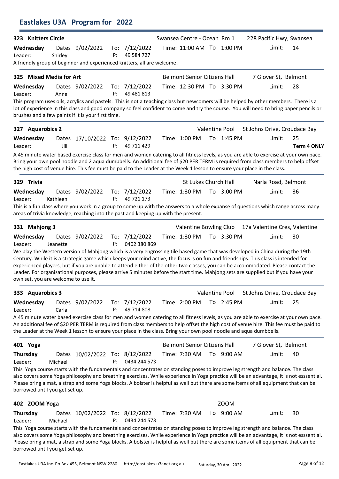| 323 Knitters Circle                 |          |                                                                                    |    |                             | Swansea Centre - Ocean Rm 1         |                           | 228 Pacific Hwy, Swansea                                                                                                                                                                                                                                                                                                                                                                                           |                    |
|-------------------------------------|----------|------------------------------------------------------------------------------------|----|-----------------------------|-------------------------------------|---------------------------|--------------------------------------------------------------------------------------------------------------------------------------------------------------------------------------------------------------------------------------------------------------------------------------------------------------------------------------------------------------------------------------------------------------------|--------------------|
| Wednesday<br>Leader:                | Shirley  | Dates 9/02/2022                                                                    | P: | To: 7/12/2022<br>49 584 727 |                                     | Time: 11:00 AM To 1:00 PM | Limit:                                                                                                                                                                                                                                                                                                                                                                                                             | 14                 |
|                                     |          | A friendly group of beginner and experienced knitters, all are welcome!            |    |                             |                                     |                           |                                                                                                                                                                                                                                                                                                                                                                                                                    |                    |
| 325 Mixed Media for Art             |          |                                                                                    |    |                             | <b>Belmont Senior Citizens Hall</b> |                           | 7 Glover St, Belmont                                                                                                                                                                                                                                                                                                                                                                                               |                    |
| Wednesday                           |          | Dates 9/02/2022                                                                    |    | To: 7/12/2022               |                                     | Time: 12:30 PM To 3:30 PM | Limit:                                                                                                                                                                                                                                                                                                                                                                                                             | 28                 |
| Leader:                             | Anne     |                                                                                    | P: | 49 481 813                  |                                     |                           | This program uses oils, acrylics and pastels. This is not a teaching class but newcomers will be helped by other members. There is a                                                                                                                                                                                                                                                                               |                    |
|                                     |          | brushes and a few paints if it is your first time.                                 |    |                             |                                     |                           | lot of experience in this class and good company so feel confident to come and try the course. You will need to bring paper pencils or                                                                                                                                                                                                                                                                             |                    |
| 327 Aquarobics 2                    |          |                                                                                    |    |                             |                                     | Valentine Pool            | St Johns Drive, Croudace Bay                                                                                                                                                                                                                                                                                                                                                                                       |                    |
| Wednesday                           |          | Dates 17/10/2022 To: 9/12/2022                                                     |    |                             | Time: 1:00 PM                       | To 1:45 PM                | Limit:                                                                                                                                                                                                                                                                                                                                                                                                             | 25                 |
| Leader:                             | Jill     |                                                                                    | P: | 49 711 429                  |                                     |                           |                                                                                                                                                                                                                                                                                                                                                                                                                    | <b>Term 4 ONLY</b> |
|                                     |          |                                                                                    |    |                             |                                     |                           | A 45 minute water based exercise class for men and women catering to all fitness levels, as you are able to exercise at your own pace.<br>Bring your own pool noodle and 2 aqua dumbbells. An additional fee of \$20 PER TERM is required from class members to help offset<br>the high cost of venue hire. This fee must be paid to the Leader at the Week 1 lesson to ensure your place in the class.            |                    |
| 329 Trivia                          |          |                                                                                    |    |                             | St Lukes Church Hall                |                           | Narla Road, Belmont                                                                                                                                                                                                                                                                                                                                                                                                |                    |
| Wednesday                           |          | Dates 9/02/2022                                                                    |    | To: 7/12/2022               | Time: 1:30 PM                       | To 3:00 PM                | Limit:                                                                                                                                                                                                                                                                                                                                                                                                             | 36                 |
| Leader:                             | Kathleen |                                                                                    | P: | 49 721 173                  |                                     |                           |                                                                                                                                                                                                                                                                                                                                                                                                                    |                    |
|                                     |          | areas of trivia knowledge, reaching into the past and keeping up with the present. |    |                             |                                     |                           | This is a fun class where you work in a group to come up with the answers to a whole expanse of questions which range across many                                                                                                                                                                                                                                                                                  |                    |
| 331 Mahjong 3                       |          |                                                                                    |    |                             | Valentine Bowling Club              |                           | 17a Valentine Cres, Valentine                                                                                                                                                                                                                                                                                                                                                                                      |                    |
| Wednesday                           |          | Dates 9/02/2022                                                                    |    | To: 7/12/2022               | Time: 1:30 PM                       | To 3:30 PM                | Limit:                                                                                                                                                                                                                                                                                                                                                                                                             | 30                 |
| Leader:                             | Jeanette |                                                                                    | P: | 0402 380 869                |                                     |                           | We play the Western version of Mahjong which is a very engrossing tile based game that was developed in China during the 19th                                                                                                                                                                                                                                                                                      |                    |
| own set, you are welcome to use it. |          |                                                                                    |    |                             |                                     |                           | Century. While it is a strategic game which keeps your mind active, the focus is on fun and friendships. This class is intended for<br>experienced players, but if you are unable to attend either of the other two classes, you can be accommodated. Please contact the<br>Leader. For organisational purposes, please arrive 5 minutes before the start time. Mahjong sets are supplied but if you have your     |                    |
| 333 Aquarobics 3                    |          |                                                                                    |    |                             |                                     | Valentine Pool            | St Johns Drive, Croudace Bay                                                                                                                                                                                                                                                                                                                                                                                       |                    |
| Wednesday<br>Leader:                | Carla    | Dates 9/02/2022                                                                    | P: | To: 7/12/2022<br>49 714 808 | Time: 2:00 PM                       | To 2:45 PM                | Limit:                                                                                                                                                                                                                                                                                                                                                                                                             | 25                 |
|                                     |          |                                                                                    |    |                             |                                     |                           | A 45 minute water based exercise class for men and women catering to all fitness levels, as you are able to exercise at your own pace.<br>An additional fee of \$20 PER TERM is required from class members to help offset the high cost of venue hire. This fee must be paid to<br>the Leader at the Week 1 lesson to ensure your place in the class. Bring your own pool noodle and aqua dumbbells.              |                    |
| 401 Yoga                            |          |                                                                                    |    |                             | <b>Belmont Senior Citizens Hall</b> |                           | 7 Glover St, Belmont                                                                                                                                                                                                                                                                                                                                                                                               |                    |
| Thursday<br>Leader:                 | Michael  | Dates 10/02/2022 To: 8/12/2022                                                     | P: | 0434 244 573                | Time: 7:30 AM                       | To 9:00 AM                | Limit:                                                                                                                                                                                                                                                                                                                                                                                                             | 40                 |
| borrowed until you get set up.      |          |                                                                                    |    |                             |                                     |                           | This Yoga course starts with the fundamentals and concentrates on standing poses to improve leg strength and balance. The class<br>also covers some Yoga philosophy and breathing exercises. While experience in Yoga practice will be an advantage, it is not esssential.<br>Please bring a mat, a strap and some Yoga blocks. A bolster is helpful as well but there are some items of all equipment that can be |                    |
| 402 ZOOM Yoga                       |          |                                                                                    |    |                             |                                     | <b>ZOOM</b>               |                                                                                                                                                                                                                                                                                                                                                                                                                    |                    |
| Thursday                            |          | Dates 10/02/2022 To: 8/12/2022                                                     |    |                             | Time: 7:30 AM                       | To 9:00 AM                | Limit:                                                                                                                                                                                                                                                                                                                                                                                                             | 30                 |
| Leader:                             | Michael  |                                                                                    | P: | 0434 244 573                |                                     |                           |                                                                                                                                                                                                                                                                                                                                                                                                                    |                    |
| borrowed until you get set up.      |          |                                                                                    |    |                             |                                     |                           | This Yoga course starts with the fundamentals and concentrates on standing poses to improve leg strength and balance. The class<br>also covers some Yoga philosophy and breathing exercises. While experience in Yoga practice will be an advantage, it is not esssential.<br>Please bring a mat, a strap and some Yoga blocks. A bolster is helpful as well but there are some items of all equipment that can be |                    |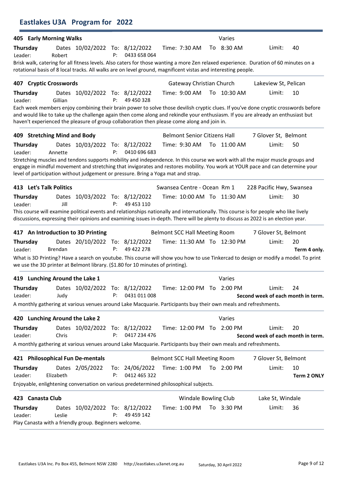|                                |                | Eastlakes U3A Program for 2022                         |    |                                                                                                                 |                                      |                            |                                                                                                                                                                                                                                                                             |                          |
|--------------------------------|----------------|--------------------------------------------------------|----|-----------------------------------------------------------------------------------------------------------------|--------------------------------------|----------------------------|-----------------------------------------------------------------------------------------------------------------------------------------------------------------------------------------------------------------------------------------------------------------------------|--------------------------|
| 405 Early Morning Walks        |                |                                                        |    |                                                                                                                 |                                      | Varies                     |                                                                                                                                                                                                                                                                             |                          |
| <b>Thursday</b><br>Leader:     | Robert         | Dates 10/02/2022 To: 8/12/2022                         | P: | 0433 658 064                                                                                                    | Time: 7:30 AM                        | To 8:30 AM                 | Limit:                                                                                                                                                                                                                                                                      | 40                       |
|                                |                |                                                        |    | rotational basis of 8 local tracks. All walks are on level ground, magnificent vistas and interesting people.   |                                      |                            | Brisk walk, catering for all fitness levels. Also caters for those wanting a more Zen relaxed experience. Duration of 60 minutes on a                                                                                                                                       |                          |
| 407 Cryptic Crosswords         |                |                                                        |    |                                                                                                                 | <b>Gateway Christian Church</b>      |                            | Lakeview St, Pelican                                                                                                                                                                                                                                                        |                          |
| Thursday<br>Leader:            | Gillian        | Dates 10/02/2022 To: 8/12/2022                         | P: | 49 450 328                                                                                                      | Time: 9:00 AM                        | To 10:30 AM                | Limit:                                                                                                                                                                                                                                                                      | 10                       |
|                                |                |                                                        |    | haven't experienced the pleasure of group collaboration then please come along and join in.                     |                                      |                            | Each week members enjoy combining their brain power to solve those devilish cryptic clues. If you've done cryptic crosswords before<br>and would like to take up the challenge again then come along and rekindle your enthusiasm. If you are already an enthusiast but     |                          |
| 409 Stretching Mind and Body   |                |                                                        |    |                                                                                                                 | <b>Belmont Senior Citizens Hall</b>  |                            | 7 Glover St, Belmont                                                                                                                                                                                                                                                        |                          |
| Thursday                       | Annette        | Dates 10/03/2022 To: 8/12/2022                         | P: | 0410 696 683                                                                                                    | Time: 9:30 AM                        | To 11:00 AM                | Limit:                                                                                                                                                                                                                                                                      | 50                       |
| Leader:                        |                |                                                        |    | level of participation without judgement or pressure. Bring a Yoga mat and strap.                               |                                      |                            | Stretching muscles and tendons supports mobility and independence. In this course we work with all the major muscle groups and<br>engage in mindful movement and stretching that invigorates and restores mobility. You work at YOUR pace and can determine your            |                          |
| 413 Let's Talk Politics        |                |                                                        |    |                                                                                                                 | Swansea Centre - Ocean Rm 1          |                            | 228 Pacific Hwy, Swansea                                                                                                                                                                                                                                                    |                          |
| Thursday                       |                | Dates 10/03/2022 To: 8/12/2022                         |    |                                                                                                                 |                                      | Time: 10:00 AM To 11:30 AM | Limit:                                                                                                                                                                                                                                                                      | 30                       |
| Leader:                        | Jill           |                                                        | P: | 49 453 110                                                                                                      |                                      |                            | This course will examine political events and relationships nationally and internationally. This course is for people who like lively<br>discussions, expressing their opinions and examining issues in-depth. There will be plenty to discuss as 2022 is an election year. |                          |
|                                |                | 417 An Introduction to 3D Printing                     |    |                                                                                                                 | Belmont SCC Hall Meeting Room        |                            | 7 Glover St, Belmont                                                                                                                                                                                                                                                        |                          |
| Thursday<br>Leader:            | <b>Brendan</b> | Dates 20/10/2022 To: 8/12/2022                         | P: | 49 422 278                                                                                                      |                                      | Time: 11:30 AM To 12:30 PM | Limit:                                                                                                                                                                                                                                                                      | 20<br>Term 4 only.       |
|                                |                |                                                        |    | we use the 3D printer at Belmont library. (\$1.80 for 10 minutes of printing).                                  |                                      |                            | What is 3D Printing? Have a search on youtube. This course will show you how to use Tinkercad to design or modify a model. To print                                                                                                                                         |                          |
| 419 Lunching Around the Lake 1 |                |                                                        |    |                                                                                                                 |                                      | Varies                     |                                                                                                                                                                                                                                                                             |                          |
| Thursday<br>Leader:            | Judy           | Dates 10/02/2022 To: 8/12/2022                         | P: | 0431 011 008                                                                                                    |                                      | Time: 12:00 PM To 2:00 PM  | Limit:<br>Second week of each month in term.                                                                                                                                                                                                                                | 24                       |
|                                |                |                                                        |    | A monthly gathering at various venues around Lake Macquarie. Participants buy their own meals and refreshments. |                                      |                            |                                                                                                                                                                                                                                                                             |                          |
| 420 Lunching Around the Lake 2 |                |                                                        |    |                                                                                                                 |                                      | Varies                     |                                                                                                                                                                                                                                                                             |                          |
| Thursday<br>Leader:            | Chris          | Dates 10/02/2022 To: 8/12/2022                         | P: | 0417 234 476                                                                                                    |                                      | Time: 12:00 PM To 2:00 PM  | Limit:<br>Second week of each month in term.                                                                                                                                                                                                                                | 20                       |
|                                |                |                                                        |    | A monthly gathering at various venues around Lake Macquarie. Participants buy their own meals and refreshments. |                                      |                            |                                                                                                                                                                                                                                                                             |                          |
|                                |                | 421 Philosophical Fun De-mentals                       |    |                                                                                                                 | <b>Belmont SCC Hall Meeting Room</b> |                            | 7 Glover St, Belmont                                                                                                                                                                                                                                                        |                          |
| Thursday<br>Leader:            | Elizabeth      | Dates 2/05/2022                                        | P: | To: 24/06/2022<br>0412 465 322                                                                                  |                                      | Time: 1:00 PM To 2:00 PM   | Limit:                                                                                                                                                                                                                                                                      | 10<br><b>Term 2 ONLY</b> |
|                                |                |                                                        |    | Enjoyable, enlightening conversation on various predetermined philosophical subjects.                           |                                      |                            |                                                                                                                                                                                                                                                                             |                          |
| 423 Canasta Club               |                |                                                        |    |                                                                                                                 | Windale Bowling Club                 |                            | Lake St, Windale                                                                                                                                                                                                                                                            |                          |
| Thursday<br>Leader:            | Leslie         | Dates 10/02/2022 To: 8/12/2022                         | P: | 49 459 142                                                                                                      |                                      | Time: 1:00 PM To 3:30 PM   | Limit:                                                                                                                                                                                                                                                                      | 36                       |
|                                |                | Play Canasta with a friendly group. Beginners welcome. |    |                                                                                                                 |                                      |                            |                                                                                                                                                                                                                                                                             |                          |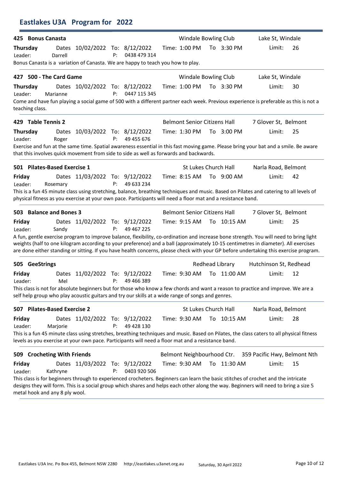| 425 Bonus Canasta                                                                                                                                                                                                                                                                                                                                                                                                      |                  |                                |    |              | <b>Windale Bowling Club</b>         |                           | Lake St, Windale             |    |
|------------------------------------------------------------------------------------------------------------------------------------------------------------------------------------------------------------------------------------------------------------------------------------------------------------------------------------------------------------------------------------------------------------------------|------------------|--------------------------------|----|--------------|-------------------------------------|---------------------------|------------------------------|----|
| <b>Thursday</b><br>Leader:<br>Bonus Canasta is a variation of Canasta. We are happy to teach you how to play.                                                                                                                                                                                                                                                                                                          | Dates<br>Darrell | 10/02/2022 To: 8/12/2022       | P: | 0438 479 314 | Time: 1:00 PM                       | To 3:30 PM                | Limit:                       | 26 |
| 427 500 - The Card Game                                                                                                                                                                                                                                                                                                                                                                                                |                  |                                |    |              | Windale Bowling Club                |                           | Lake St, Windale             |    |
| Thursday<br>Leader:<br>Come and have fun playing a social game of 500 with a different partner each week. Previous experience is preferable as this is not a                                                                                                                                                                                                                                                           | Marianne         | Dates 10/02/2022 To: 8/12/2022 | P: | 0447 115 345 | Time: 1:00 PM                       | To 3:30 PM                | Limit:                       | 30 |
| teaching class.                                                                                                                                                                                                                                                                                                                                                                                                        |                  |                                |    |              |                                     |                           |                              |    |
| 429 Table Tennis 2                                                                                                                                                                                                                                                                                                                                                                                                     |                  |                                |    |              | <b>Belmont Senior Citizens Hall</b> |                           | 7 Glover St, Belmont         |    |
| <b>Thursday</b><br>Leader:                                                                                                                                                                                                                                                                                                                                                                                             | Roger            | Dates 10/03/2022 To: 8/12/2022 | P: | 49 455 676   | Time: 1:30 PM                       | To 3:00 PM                | Limit:                       | 25 |
| Exercise and fun at the same time. Spatial awareness essential in this fast moving game. Please bring your bat and a smile. Be aware<br>that this involves quick movement from side to side as well as forwards and backwards.                                                                                                                                                                                         |                  |                                |    |              |                                     |                           |                              |    |
| 501 Pilates-Based Exercise 1                                                                                                                                                                                                                                                                                                                                                                                           |                  |                                |    |              | St Lukes Church Hall                |                           | Narla Road, Belmont          |    |
| Friday<br>Leader:                                                                                                                                                                                                                                                                                                                                                                                                      | Rosemary         | Dates 11/03/2022 To: 9/12/2022 | P: | 49 633 234   | Time: 8:15 AM                       | To 9:00 AM                | Limit:                       | 42 |
| This is a fun 45 minute class using stretching, balance, breathing techniques and music. Based on Pilates and catering to all levels of<br>physical fitness as you exercise at your own pace. Participants will need a floor mat and a resistance band.                                                                                                                                                                |                  |                                |    |              |                                     |                           |                              |    |
| 503 Balance and Bones 3                                                                                                                                                                                                                                                                                                                                                                                                |                  |                                |    |              | <b>Belmont Senior Citizens Hall</b> |                           | 7 Glover St, Belmont         |    |
| Friday<br>Leader:                                                                                                                                                                                                                                                                                                                                                                                                      | Sandy            | Dates 11/02/2022 To: 9/12/2022 | P: | 49 467 225   | Time: 9:15 AM                       | To 10:15 AM               | Limit:                       | 25 |
| A fun, gentle exercise program to improve balance, flexibility, co-ordination and increase bone strength. You will need to bring light<br>weights (half to one kilogram according to your preference) and a ball (approximately 10-15 centimetres in diameter). All exercises<br>are done either standing or sitting. If you have health concerns, please check with your GP before undertaking this exercise program. |                  |                                |    |              |                                     |                           |                              |    |
| 505 GeeStrings                                                                                                                                                                                                                                                                                                                                                                                                         |                  |                                |    |              |                                     | Redhead Library           | Hutchinson St, Redhead       |    |
| <b>Friday</b><br>Leader:                                                                                                                                                                                                                                                                                                                                                                                               | Mel              | Dates 11/02/2022 To: 9/12/2022 | P: | 49 466 389   |                                     | Time: 9:30 AM To 11:00 AM | Limit:                       | 12 |
| This class is not for absolute beginners but for those who know a few chords and want a reason to practice and improve. We are a<br>self help group who play acoustic guitars and try our skills at a wide range of songs and genres.                                                                                                                                                                                  |                  |                                |    |              |                                     |                           |                              |    |
| 507 Pilates-Based Exercise 2                                                                                                                                                                                                                                                                                                                                                                                           |                  |                                |    |              | St Lukes Church Hall                |                           | Narla Road, Belmont          |    |
| <b>Friday</b><br>Leader:                                                                                                                                                                                                                                                                                                                                                                                               | Marjorie         | Dates 11/02/2022 To: 9/12/2022 | P: | 49 428 130   | Time: 9:30 AM                       | To 10:15 AM               | Limit:                       | 28 |
| This is a fun 45 minute class using stretches, breathing techniques and music. Based on Pilates, the class caters to all physical fitness<br>levels as you exercise at your own pace. Participants will need a floor mat and a resistance band.                                                                                                                                                                        |                  |                                |    |              |                                     |                           |                              |    |
| 509 Crocheting With Friends                                                                                                                                                                                                                                                                                                                                                                                            |                  |                                |    |              | Belmont Neighbourhood Ctr.          |                           | 359 Pacific Hwy, Belmont Nth |    |
| Friday<br>Leader:                                                                                                                                                                                                                                                                                                                                                                                                      | Kathryne         | Dates 11/03/2022 To: 9/12/2022 | P: | 0403 920 506 | Time: 9:30 AM                       | To 11:30 AM               | Limit:                       | 15 |
| This class is for beginners through to experienced crocheters. Beginners can learn the basic stitches of crochet and the intricate<br>designs they will form. This is a social group which shares and helps each other along the way. Beginners will need to bring a size 5<br>metal hook and any 8 ply wool.                                                                                                          |                  |                                |    |              |                                     |                           |                              |    |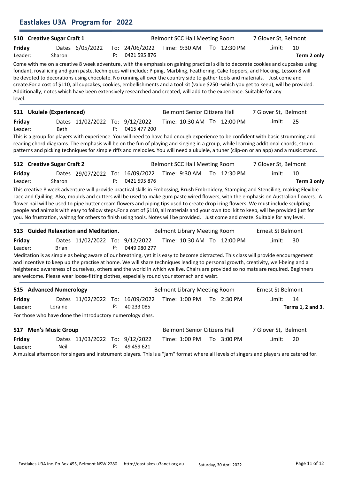## Eastlakes U3A Program for 2022

|                            | 510 Creative Sugar Craft 1 |                                                            |    |                                                                                                                      | <b>Belmont SCC Hall Meeting Room</b> |                            | 7 Glover St, Belmont                                                                                                                                                                                                                                                                                                                                                                                                                                                                                                                                                                                                                                                                                     |                         |
|----------------------------|----------------------------|------------------------------------------------------------|----|----------------------------------------------------------------------------------------------------------------------|--------------------------------------|----------------------------|----------------------------------------------------------------------------------------------------------------------------------------------------------------------------------------------------------------------------------------------------------------------------------------------------------------------------------------------------------------------------------------------------------------------------------------------------------------------------------------------------------------------------------------------------------------------------------------------------------------------------------------------------------------------------------------------------------|-------------------------|
| Friday<br>Leader:          | Sharon                     | Dates 6/05/2022                                            | P: | To: 24/06/2022<br>0421 595 876                                                                                       | Time: 9:30 AM                        | To 12:30 PM                | Limit:                                                                                                                                                                                                                                                                                                                                                                                                                                                                                                                                                                                                                                                                                                   | 10<br>Term 2 only       |
| level.                     |                            |                                                            |    | Additionally, notes which have been extensively researched and created, will add to the experience. Suitable for any |                                      |                            | Come with me on a creative 8 week adventure, with the emphasis on gaining practical skills to decorate cookies and cupcakes using<br>fondant, royal icing and gum paste. Techniques will include: Piping, Marbling, Feathering, Cake Toppers, and Flocking. Lesson 8 will<br>be devoted to decorations using chocolate. No running all over the country side to gather tools and materials. Just come and<br>create.For a cost of \$110, all cupcakes, cookies, embellishments and a tool kit (value \$250 -which you get to keep), will be provided.                                                                                                                                                    |                         |
|                            | 511 Ukulele (Experienced)  |                                                            |    |                                                                                                                      | <b>Belmont Senior Citizens Hall</b>  |                            | 7 Glover St, Belmont                                                                                                                                                                                                                                                                                                                                                                                                                                                                                                                                                                                                                                                                                     |                         |
| Friday<br>Leader:          | <b>Beth</b>                | Dates 11/02/2022 To: 9/12/2022                             | P: | 0415 477 200                                                                                                         |                                      | Time: 10:30 AM To 12:00 PM | Limit:                                                                                                                                                                                                                                                                                                                                                                                                                                                                                                                                                                                                                                                                                                   | 25                      |
|                            |                            |                                                            |    |                                                                                                                      |                                      |                            | This is a group for players with experience. You will need to have had enough experience to be confident with basic strumming and<br>reading chord diagrams. The emphasis will be on the fun of playing and singing in a group, while learning additional chords, strum<br>patterns and picking techniques for simple riffs and melodies. You will need a ukulele, a tuner (clip-on or an app) and a music stand.                                                                                                                                                                                                                                                                                        |                         |
| 512 Creative Sugar Craft 2 |                            |                                                            |    |                                                                                                                      | <b>Belmont SCC Hall Meeting Room</b> |                            | 7 Glover St, Belmont                                                                                                                                                                                                                                                                                                                                                                                                                                                                                                                                                                                                                                                                                     |                         |
| Friday<br>Leader:          | Sharon                     | Dates 29/07/2022 To: 16/09/2022                            | P: | 0421 595 876                                                                                                         | Time: 9:30 AM                        | To 12:30 PM                | Limit:                                                                                                                                                                                                                                                                                                                                                                                                                                                                                                                                                                                                                                                                                                   | 10<br>Term 3 only       |
|                            |                            |                                                            |    |                                                                                                                      |                                      |                            | This creative 8 week adventure will provide practical skills in Embossing, Brush Embroidery, Stamping and Stenciling, making Flexible<br>Lace and Quilling. Also, moulds and cutters will be used to make gum paste wired flowers, with the emphasis on Australian flowers. A<br>flower nail will be used to pipe butter cream flowers and piping tips used to create drop icing flowers. We must include sculpting<br>people and animals with easy to follow steps. For a cost of \$110, all materials and your own tool kit to keep, will be provided just for<br>you. No frustration, waiting for others to finish using tools. Notes will be provided. Just come and create. Suitable for any level. |                         |
|                            |                            | 513 Guided Relaxation and Meditation.                      |    |                                                                                                                      | <b>Belmont Library Meeting Room</b>  |                            | <b>Ernest St Belmont</b>                                                                                                                                                                                                                                                                                                                                                                                                                                                                                                                                                                                                                                                                                 |                         |
| Friday<br>Leader:          | Brian                      | Dates 11/02/2022 To: 9/12/2022                             | P: | 0449 980 277                                                                                                         |                                      | Time: 10:30 AM To 12:00 PM | Limit:                                                                                                                                                                                                                                                                                                                                                                                                                                                                                                                                                                                                                                                                                                   | 30                      |
|                            |                            |                                                            |    | are welcome. Please wear loose-fitting clothes, especially round your stomach and waist.                             |                                      |                            | Meditation is as simple as being aware of our breathing, yet it is easy to become distracted. This class will provide encouragement<br>and incentive to keep up the practise at home. We will share techniques leading to personal growth, creativity, well-being and a<br>heightened awareness of ourselves, others and the world in which we live. Chairs are provided so no mats are required. Beginners                                                                                                                                                                                                                                                                                              |                         |
|                            | 515 Advanced Numerology    |                                                            |    |                                                                                                                      | <b>Belmont Library Meeting Room</b>  |                            | <b>Ernest St Belmont</b>                                                                                                                                                                                                                                                                                                                                                                                                                                                                                                                                                                                                                                                                                 |                         |
| Friday<br>Leader:          | Loraine                    | Dates 11/02/2022 To: 16/09/2022                            | P: | 40 233 085                                                                                                           | Time: 1:00 PM                        | To 2:30 PM                 | Limit:                                                                                                                                                                                                                                                                                                                                                                                                                                                                                                                                                                                                                                                                                                   | 14<br>Terms 1, 2 and 3. |
|                            |                            | For those who have done the introductory numerology class. |    |                                                                                                                      |                                      |                            |                                                                                                                                                                                                                                                                                                                                                                                                                                                                                                                                                                                                                                                                                                          |                         |
| 517 Men's Music Group      |                            |                                                            |    |                                                                                                                      | <b>Belmont Senior Citizens Hall</b>  |                            | 7 Glover St, Belmont                                                                                                                                                                                                                                                                                                                                                                                                                                                                                                                                                                                                                                                                                     |                         |
| <b>Friday</b><br>Leader:   | Neil                       | Dates 11/03/2022 To: 9/12/2022                             | P: | 49 459 621                                                                                                           | Time: 1:00 PM                        | To 3:00 PM                 | Limit:<br>A musical afternoon for singers and instrument players. This is a "jam" format where all levels of singers and players are catered for.                                                                                                                                                                                                                                                                                                                                                                                                                                                                                                                                                        | 20                      |